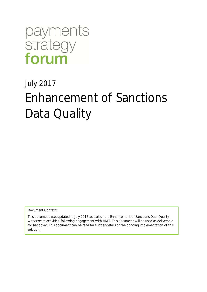# payments<br>strategy<br>forum

# July 2017 Enhancement of Sanctions Data Quality

Document Context:

This document was updated in July 2017 as part of the Enhancement of Sanctions Data Quality workstream activities, following engagement with HMT. This document will be used as deliverable for handover. This document can be read for further details of the ongoing implementation of this solution.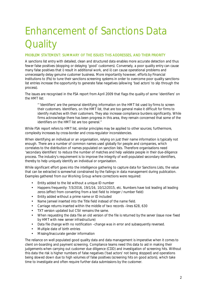# Enhancement of Sanctions Data **Quality**

# PROBLEM STATEMENT: SUMMARY OF THE ISSUES THIS ADDRESSES, AND THEIR PRIORITY

A sanctions list entry with detailed, clean and structured data enables more accurate detection and thus fewer false positives (stopping or delaying 'good' customers). Conversely, a poor quality entry can cause many false positives that i) result in additional work, and ii) can cause operational problems and unnecessarily delay genuine customer business. More importantly however, efforts by Financial Institutions to (FIs) to tune their sanctions screening systems in order to overcome poor quality sanctionslist entries increase the opportunity to generate false negatives (allowing 'bad actors' to slip through the process).

The issues are recognised in the FSA report from April 2009 that flags the quality of some 'identifiers' on the HMT list:

"'Identifiers' are the personal identifying information on the HMT list used by firms to screen their customers. Identifiers, on the HMT list, that are too general make it difficult for firms to identify matches with their customers. They also increase compliance burdens significantly. While firms acknowledge there has been progress in this area, they remain concerned that some of the identifiers on the HMT list are too general."

While FSA report refers to HMT list, similar principles may be applied to other sources; furthermore, complexity increases by cross-border and cross-regulator inconsistencies.

When identifying an individual or an organisation, relying on just their name information is typically not enough. There are a number of common names used globally for people and companies, which correlates to the distribution of names populated on sanction lists. Therefore organisations need 'secondary identifiers' to reduce the number of matches and help validate people in their due-diligence process. The industry's requirement is to improve the integrity of well-populated secondary identifiers, thereby to help uniquely identify an individual or organisation.

While significant effort goes into the intelligence gathering to capture data for Sanctions Lists, the value that can be extracted is somewhat constrained by the failings in data management during publication. Examples gathered from our Working Group where corrections were required:

- Entity added to the list without a unique ID number
- Happens frequently: 7/3/2016, 19/1/16, 10/12/2015, etc. Numbers have lost leading all leading  $\ddot{\phantom{a}}$ zeros (effect from converting from a text field to integer / number field)
- Entity added without a prime name or ID included
- Name Jameel inserted into the Title field instead of the name field. l.
- Carriage returns inserted within the middle of two records –lines 628, 630
- TXT version updated but CSV remains the same.
- When requesting the data file an old version of the file is returned by the server (issue now fixed by HMT with new server infrastructure)
- Data file change with no notification –change was in error and subsequently reversed. J.
- Multiple date of birth entries
- Missing/Inaccurate gender information

The reliance on well populated good quality data and data management is imperative when it comes to client on-boarding and payment screening. Compliance teams need this data to aid in making their judgements when carrying out customer due diligence (CDD) and investigation of screening hits. Without this data the risk is higher numbers of false negatives ('bad actors' not being stopped) and operations being slowed down due to high volumes of false positives (screening hits on good actors), which take time to investigate and often require further data submissions by the customer.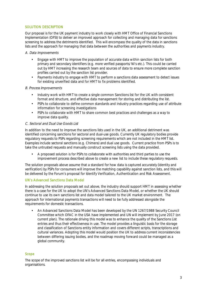## SOLUTION DESCRIPTION

Our proposal is for the UK payment industry to work closely with HMT Office of Financial Sanctions Implementation (OFSI) to deliver an improved approach for collecting and managing data for sanctions screening to address the detriments identified. This will encompass the quality of the data in sanctions lists and the approach for managing that data between the authorities and payments industry.

#### A. Data Improvements

- Engage with HMT to improve the population of accurate data within sanction lists for both primary and secondary identifiers (e.g. more verified passports/ NI's etc.). This could be carried out by HMT increasing the research team and sources of data to ensure more complete sanction profiles carried out by the sanction list provider.
- Payments industry to engage with HMT to perform a sanctions data assessment to detect issues for existing unverified data and for HMT to fix problems identified.

#### B. Process Improvements

- Industry work with HMT to create a single common Sanctions list for the UK with consistent format and structure, and effective data management for storing and distributing the list.
- PSPs to collaborate to define common standards and industry practices regarding use of attribute  $\mathcal{L}^{\text{max}}$ information for screening investigations
- PSPs to collaborate with HMT to share common best practices and challenges as a way to à. improve data quality.

#### C. Sectoral and Dual Use Goods List

In addition to the need to improve the sanctions lists used in the UK, an additional detriment was identified concerning sanctions for sectoral and dual-use goods. Currently UK regulatory bodies provide regulatory requests to PSPs regarding screening requirements which are not included in the HMT list. Examples include sectoral sanctions (e.g. Chimera) and dual use goods. Current practice from PSPs is to take the untrusted requests and manually construct screening lists using the data provided.

A proposed solution is for PSPs to collaborate with authorities and third parties to use the improvement process described above to create a new list to include these regulatory requests.

The solution proposals above assume that a standard for how data is captured accurately (identity and verification) by PSPs for consumers will improve the matching capability against sanction lists, and this will be delivered by the Forum's proposal for Identify Verification, Authentication and Risk Assessment.

#### UN's Advanced Sanctions Data Model

In addressing the solution proposals set out above, the industry should support HMT in assessing whether there is a case for the UK to adopt the UN's Advanced Sanctions Data Model, or whether the UK should continue to use its own sanctions list and data model tailored to the UK market environment. The approach for international payments transactions will need to be fully addressed alongside the requirements for domestic transactions.

An Advanced Sanctions Data Model has been developed by the UN 1267/1988 Security Council Committee which OFAC in the USA have implemented and UN will implement by June 2017 (on current plan). The rationale driving this model was to enhance the quality of the Sanctions List entries and thus their effectiveness in use. The model provides a linguistic basis for the storage and classification of Sanctions entity information and covers different scripts, transcriptions and cultural variances. Adopting this model would position the UK to address current inconsistencies between differing issuing bodies, and the roadmap moving forward could be managed as a global community.

#### Scope

The scope of the improved sanctions list will be for all entries, encompassing individuals and organisations.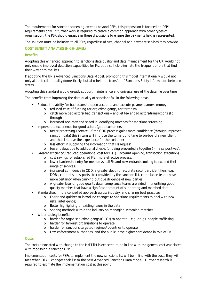The requirements for sanction screening extends beyond PSPs, this proposition is focused on PSPs requirements only. If further work is required to create a common approach with other types of organisation, the PSR should engage in these discussions to ensure the payments field is represented.

The solution must be inclusive to all PSPs, regardless of size, channel and payment services they provide.

# COST BENEFIT ANALYSIS (HIGH-LEVEL)

#### **Benefits**

Adopting this enhanced approach to sanctions data quality and data management for the UK would not only enable improved detection capabilities for FIs, but also help eliminate the frequent errors that find their way onto the lists.

If adopting the UN's Advanced Sanctions Data Model, promoting this model internationally would not only aid detection quality domestically, but also help the transfer of Sanctions Entity information between states.

Adopting this standard would greatly support maintenance and universal use of the data file over time.

The benefits from improving the data quality of sanctions fall in the following areas.

- Reduce the ability for bad actors to open accounts and execute payments/move money
	- o reduced ease of funding for org crime gangs, for terrorism
	- o catch more bad actors/ bad transactions and let fewer bad actors/transactions slip through
	- o increased accuracy and speed in identifying matches for sanctions screening.
- Improve the experience for good actors (good customers)
	- o faster processing / service: If the CDD process gains more confidence (through improved sanction data) this in turn will improve the turnaround time to on-board a new client and thus improve the experience for the customer
	- o less effort in supplying the information that FIs request
	- o fewer delays due to additional checks (or being prevented altogether) 'false positives'.
- Greater efficiency / reduced operational cost for FIs (…account opening, transaction execution)
	- o cost savings for established FIs; more effective process;
	- o lower barriers to entry for medium/small FIs and new entrants looking to expand their range of services;
	- o increased confidence in CDD: a greater depth of accurate secondary identifiers (e.g. DOBs, countries, passports etc.) provided by the sanction list, compliance teams have more certainty when carrying out due diligence of new parties;
	- o A greater level of good quality data, compliance teams are aided in prioritising good quality matches that have a significant amount of supporting and matched data.
- Standardised, more controlled approach across industry, and sharing best practices
	- o Easier and quicker to introduce changes to Sanctions requirements to deal with new risks, intelligence;
	- o Better highlighting of existing issues in the data
	- o Sharing methods within the industry on managing screening-matches.
- Wider society benefits
	- o harder for organised crime gangs (OCGs) to operate  $-$  e.g. drugs, people trafficking ;
	- o harder for terrorist organisations to operate;
	- o harder for sanctions-targeted regimes/ countries to operate;
	- o Law enforcement authorities, and the public, have higher confidence in role of FIs.

#### **Costs**

The costs associated with change to the HMT list is expected to be in line with the general cost associated with modifying a sanctions list.

Implementation costs for PSPs to implement the new sanctions list will be in line with the costs they will face when OFAC changes their list to the new Advanced Sanctions Data Model. Further research is required to estimate the implementation cost at this point.